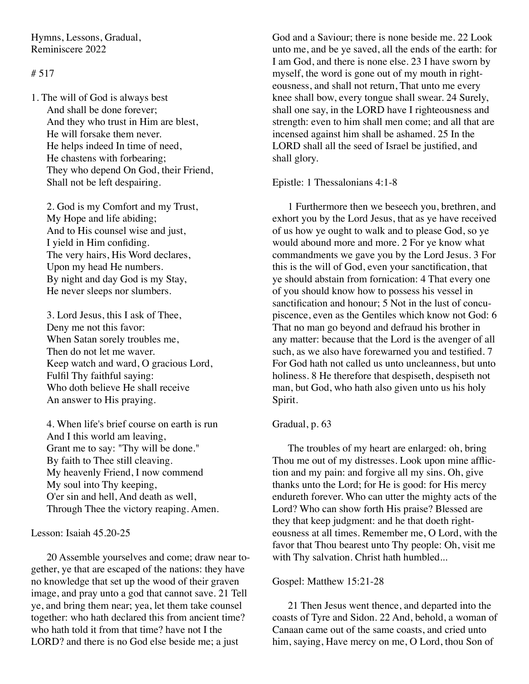Hymns, Lessons, Gradual, Reminiscere 2022

# # 517

1. The will of God is always best And shall be done forever; And they who trust in Him are blest, He will forsake them never. He helps indeed In time of need, He chastens with forbearing; They who depend On God, their Friend, Shall not be left despairing.

2. God is my Comfort and my Trust, My Hope and life abiding; And to His counsel wise and just, I yield in Him confiding. The very hairs, His Word declares, Upon my head He numbers. By night and day God is my Stay, He never sleeps nor slumbers.

3. Lord Jesus, this I ask of Thee, Deny me not this favor: When Satan sorely troubles me, Then do not let me waver. Keep watch and ward, O gracious Lord, Fulfil Thy faithful saying: Who doth believe He shall receive An answer to His praying.

4. When life's brief course on earth is run And I this world am leaving, Grant me to say: "Thy will be done." By faith to Thee still cleaving. My heavenly Friend, I now commend My soul into Thy keeping, O'er sin and hell, And death as well, Through Thee the victory reaping. Amen.

# Lesson: Isaiah 45.20-25

20 Assemble yourselves and come; draw near together, ye that are escaped of the nations: they have no knowledge that set up the wood of their graven image, and pray unto a god that cannot save. 21 Tell ye, and bring them near; yea, let them take counsel together: who hath declared this from ancient time? who hath told it from that time? have not I the LORD? and there is no God else beside me; a just

God and a Saviour; there is none beside me. 22 Look unto me, and be ye saved, all the ends of the earth: for I am God, and there is none else. 23 I have sworn by myself, the word is gone out of my mouth in righteousness, and shall not return, That unto me every knee shall bow, every tongue shall swear. 24 Surely, shall one say, in the LORD have I righteousness and strength: even to him shall men come; and all that are incensed against him shall be ashamed. 25 In the LORD shall all the seed of Israel be justified, and shall glory.

Epistle: 1 Thessalonians 4:1-8

1 Furthermore then we beseech you, brethren, and exhort you by the Lord Jesus, that as ye have received of us how ye ought to walk and to please God, so ye would abound more and more. 2 For ye know what commandments we gave you by the Lord Jesus. 3 For this is the will of God, even your sanctification, that ye should abstain from fornication: 4 That every one of you should know how to possess his vessel in sanctification and honour; 5 Not in the lust of concupiscence, even as the Gentiles which know not God: 6 That no man go beyond and defraud his brother in any matter: because that the Lord is the avenger of all such, as we also have forewarned you and testified. 7 For God hath not called us unto uncleanness, but unto holiness. 8 He therefore that despiseth, despiseth not man, but God, who hath also given unto us his holy Spirit.

#### Gradual, p. 63

The troubles of my heart are enlarged: oh, bring Thou me out of my distresses. Look upon mine affliction and my pain: and forgive all my sins. Oh, give thanks unto the Lord; for He is good: for His mercy endureth forever. Who can utter the mighty acts of the Lord? Who can show forth His praise? Blessed are they that keep judgment: and he that doeth righteousness at all times. Remember me, O Lord, with the favor that Thou bearest unto Thy people: Oh, visit me with Thy salvation. Christ hath humbled...

### Gospel: Matthew 15:21-28

21 Then Jesus went thence, and departed into the coasts of Tyre and Sidon. 22 And, behold, a woman of Canaan came out of the same coasts, and cried unto him, saying, Have mercy on me, O Lord, thou Son of